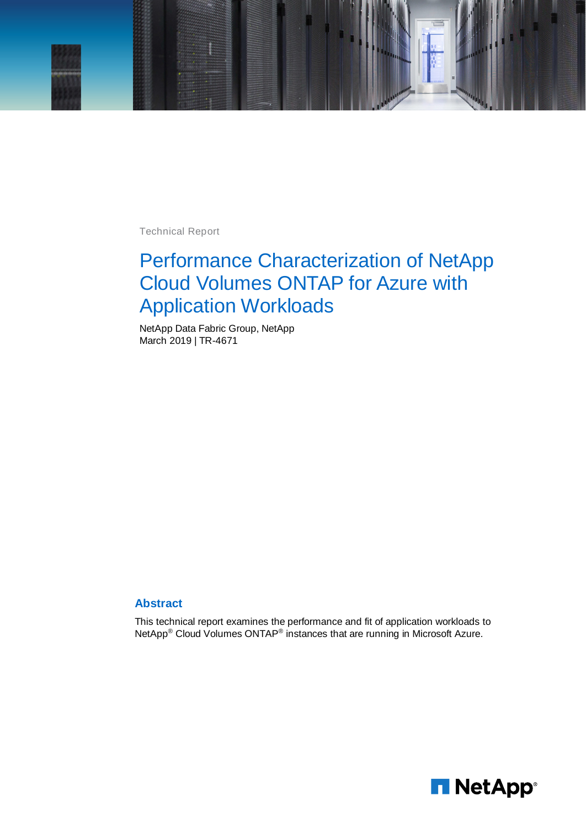

Technical Report

# Performance Characterization of NetApp Cloud Volumes ONTAP for Azure with Application Workloads

NetApp Data Fabric Group, NetApp March 2019 | TR-4671

#### **Abstract**

This technical report examines the performance and fit of application workloads to NetApp® Cloud Volumes ONTAP® instances that are running in Microsoft Azure.

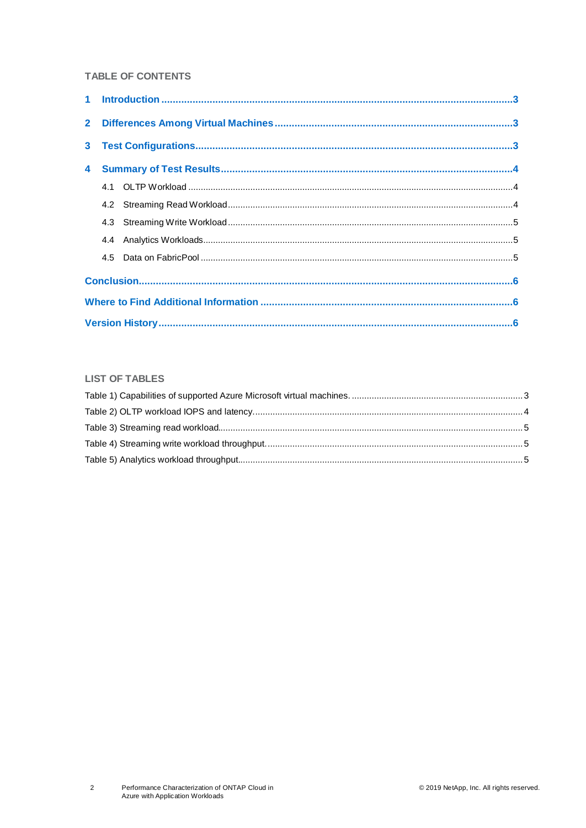### TABLE OF CONTENTS

#### **LIST OF TABLES**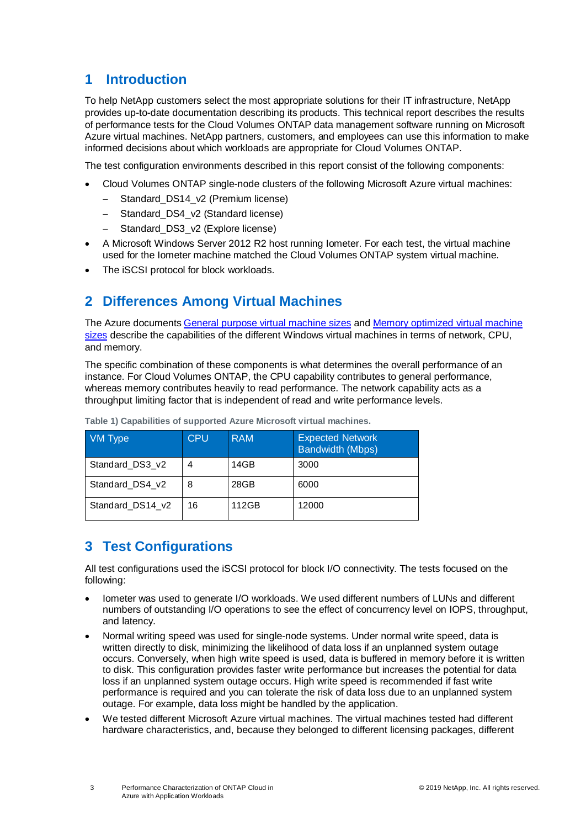# <span id="page-2-0"></span>**1 Introduction**

To help NetApp customers select the most appropriate solutions for their IT infrastructure, NetApp provides up-to-date documentation describing its products. This technical report describes the results of performance tests for the Cloud Volumes ONTAP data management software running on Microsoft Azure virtual machines. NetApp partners, customers, and employees can use this information to make informed decisions about which workloads are appropriate for Cloud Volumes ONTAP.

The test configuration environments described in this report consist of the following components:

- Cloud Volumes ONTAP single-node clusters of the following Microsoft Azure virtual machines:
	- Standard DS14\_v2 (Premium license)
	- − Standard\_DS4\_v2 (Standard license)
	- Standard\_DS3\_v2 (Explore license)
- A Microsoft Windows Server 2012 R2 host running Iometer. For each test, the virtual machine used for the Iometer machine matched the Cloud Volumes ONTAP system virtual machine.
- <span id="page-2-1"></span>The iSCSI protocol for block workloads.

# **2 Differences Among Virtual Machines**

The Azure documents [General purpose virtual machine sizes](https://docs.microsoft.com/en-us/azure/virtual-machines/windows/sizes-general) and [Memory optimized virtual machine](https://docs.microsoft.com/en-us/azure/virtual-machines/linux/sizes-memory)  [sizes](https://docs.microsoft.com/en-us/azure/virtual-machines/linux/sizes-memory) describe the capabilities of the different Windows virtual machines in terms of network, CPU, and memory.

The specific combination of these components is what determines the overall performance of an instance. For Cloud Volumes ONTAP, the CPU capability contributes to general performance, whereas memory contributes heavily to read performance. The network capability acts as a throughput limiting factor that is independent of read and write performance levels.

| VM Type          | <b>CPU</b> | <b>RAM</b> | <b>Expected Network</b><br><b>Bandwidth (Mbps)</b> |
|------------------|------------|------------|----------------------------------------------------|
| Standard DS3 v2  | 4          | 14GB       | 3000                                               |
| Standard DS4 v2  | 8          | 28GB       | 6000                                               |
| Standard DS14 v2 | 16         | 112GB      | 12000                                              |

<span id="page-2-3"></span>**Table 1) Capabilities of supported Azure Microsoft virtual machines.**

# <span id="page-2-2"></span>**3 Test Configurations**

All test configurations used the iSCSI protocol for block I/O connectivity. The tests focused on the following:

- Iometer was used to generate I/O workloads. We used different numbers of LUNs and different numbers of outstanding I/O operations to see the effect of concurrency level on IOPS, throughput, and latency.
- Normal writing speed was used for single-node systems. Under normal write speed, data is written directly to disk, minimizing the likelihood of data loss if an unplanned system outage occurs. Conversely, when high write speed is used, data is buffered in memory before it is written to disk. This configuration provides faster write performance but increases the potential for data loss if an unplanned system outage occurs. High write speed is recommended if fast write performance is required and you can tolerate the risk of data loss due to an unplanned system outage. For example, data loss might be handled by the application.
- We tested different Microsoft Azure virtual machines. The virtual machines tested had different hardware characteristics, and, because they belonged to different licensing packages, different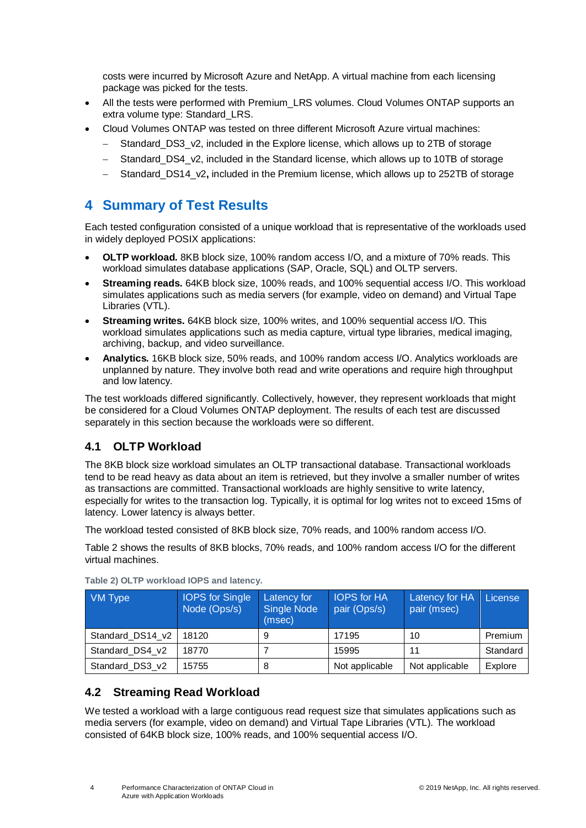costs were incurred by Microsoft Azure and NetApp. A virtual machine from each licensing package was picked for the tests.

- All the tests were performed with Premium\_LRS volumes. Cloud Volumes ONTAP supports an extra volume type: Standard\_LRS.
- Cloud Volumes ONTAP was tested on three different Microsoft Azure virtual machines:
	- Standard DS3 v2, included in the Explore license, which allows up to 2TB of storage
	- Standard DS4\_v2, included in the Standard license, which allows up to 10TB of storage
	- − Standard\_DS14\_v2**,** included in the Premium license, which allows up to 252TB of storage

## <span id="page-3-0"></span>**4 Summary of Test Results**

Each tested configuration consisted of a unique workload that is representative of the workloads used in widely deployed POSIX applications:

- **OLTP workload.** 8KB block size, 100% random access I/O, and a mixture of 70% reads. This workload simulates database applications (SAP, Oracle, SQL) and OLTP servers.
- **Streaming reads.** 64KB block size, 100% reads, and 100% sequential access I/O. This workload simulates applications such as media servers (for example, video on demand) and Virtual Tape Libraries (VTL).
- **Streaming writes.** 64KB block size, 100% writes, and 100% sequential access I/O. This workload simulates applications such as media capture, virtual type libraries, medical imaging, archiving, backup, and video surveillance.
- **Analytics.** 16KB block size, 50% reads, and 100% random access I/O. Analytics workloads are unplanned by nature. They involve both read and write operations and require high throughput and low latency.

The test workloads differed significantly. Collectively, however, they represent workloads that might be considered for a Cloud Volumes ONTAP deployment. The results of each test are discussed separately in this section because the workloads were so different.

## <span id="page-3-1"></span>**4.1 OLTP Workload**

The 8KB block size workload simulates an OLTP transactional database. Transactional workloads tend to be read heavy as data about an item is retrieved, but they involve a smaller number of writes as transactions are committed. Transactional workloads are highly sensitive to write latency, especially for writes to the transaction log. Typically, it is optimal for log writes not to exceed 15ms of latency. Lower latency is always better.

The workload tested consisted of 8KB block size, 70% reads, and 100% random access I/O.

Table 2 shows the results of 8KB blocks, 70% reads, and 100% random access I/O for the different virtual machines.

| VM Type          | <b>IOPS</b> for Single<br>Node (Ops/s) | Latency for<br><b>Single Node</b><br>(msec) | <b>IOPS</b> for HA<br>pair (Ops/s) | Latency for HA<br>pair (msec) | License  |
|------------------|----------------------------------------|---------------------------------------------|------------------------------------|-------------------------------|----------|
| Standard DS14 v2 | 18120                                  | 9                                           | 17195                              | 10                            | Premium  |
| Standard DS4 v2  | 18770                                  |                                             | 15995                              | 11                            | Standard |
| Standard DS3 v2  | 15755                                  | 8                                           | Not applicable                     | Not applicable                | Explore  |

<span id="page-3-3"></span>**Table 2) OLTP workload IOPS and latency.**

## <span id="page-3-2"></span>**4.2 Streaming Read Workload**

We tested a workload with a large contiguous read request size that simulates applications such as media servers (for example, video on demand) and Virtual Tape Libraries (VTL). The workload consisted of 64KB block size, 100% reads, and 100% sequential access I/O.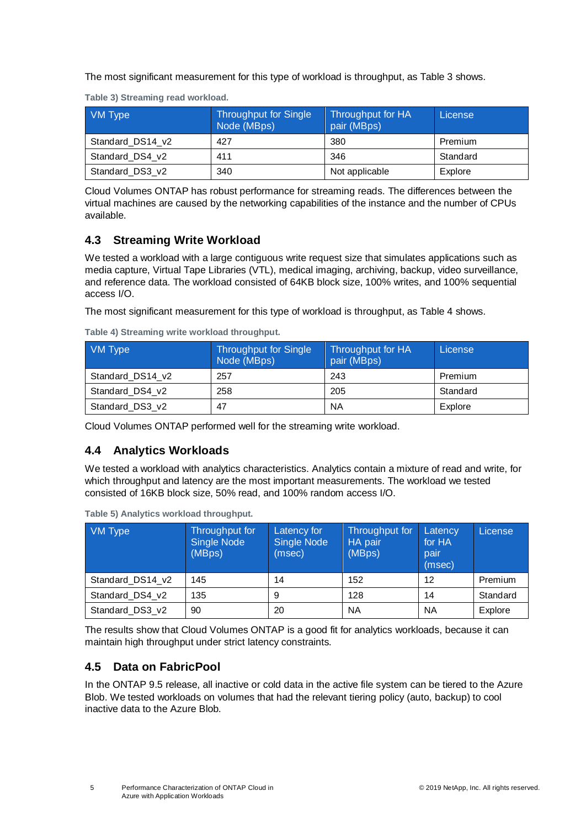The most significant measurement for this type of workload is throughput, as Table 3 shows.

| VM Type          | <b>Throughput for Single</b><br>Node (MBps) | Throughput for HA<br>pair (MBps) | License  |
|------------------|---------------------------------------------|----------------------------------|----------|
| Standard DS14 v2 | 427                                         | 380                              | Premium  |
| Standard DS4 v2  | 411                                         | 346                              | Standard |
| Standard DS3 v2  | 340                                         | Not applicable                   | Explore  |

<span id="page-4-3"></span>**Table 3) Streaming read workload.**

Cloud Volumes ONTAP has robust performance for streaming reads. The differences between the virtual machines are caused by the networking capabilities of the instance and the number of CPUs available.

## <span id="page-4-0"></span>**4.3 Streaming Write Workload**

We tested a workload with a large contiguous write request size that simulates applications such as media capture, Virtual Tape Libraries (VTL), medical imaging, archiving, backup, video surveillance, and reference data. The workload consisted of 64KB block size, 100% writes, and 100% sequential access I/O.

The most significant measurement for this type of workload is throughput, as Table 4 shows.

| VM Type          | <b>Throughput for Single</b><br>Node (MBps) | Throughput for HA<br>pair (MBps) | License  |  |
|------------------|---------------------------------------------|----------------------------------|----------|--|
| Standard DS14 v2 | 257                                         | 243                              | Premium  |  |
| Standard DS4 v2  | 258                                         | 205                              | Standard |  |
| Standard DS3 v2  | 47                                          | ΝA                               | Explore  |  |

<span id="page-4-4"></span>**Table 4) Streaming write workload throughput.**

Cloud Volumes ONTAP performed well for the streaming write workload.

## <span id="page-4-1"></span>**4.4 Analytics Workloads**

We tested a workload with analytics characteristics. Analytics contain a mixture of read and write, for which throughput and latency are the most important measurements. The workload we tested consisted of 16KB block size, 50% read, and 100% random access I/O.

| VM Type          | Throughput for<br><b>Single Node</b><br>(MBps) | Latency for<br><b>Single Node</b><br>(msec) | Throughput for<br>HA pair<br>(MBps) | Latency<br>for HA<br>pair<br>(msec) | <b>License</b> |
|------------------|------------------------------------------------|---------------------------------------------|-------------------------------------|-------------------------------------|----------------|
| Standard_DS14_v2 | 145                                            | 14                                          | 152                                 | 12                                  | Premium        |
| Standard DS4 v2  | 135                                            | 9                                           | 128                                 | 14                                  | Standard       |
| Standard DS3 v2  | 90                                             | 20                                          | <b>NA</b>                           | <b>NA</b>                           | Explore        |

<span id="page-4-5"></span>**Table 5) Analytics workload throughput.**

The results show that Cloud Volumes ONTAP is a good fit for analytics workloads, because it can maintain high throughput under strict latency constraints.

## <span id="page-4-2"></span>**4.5 Data on FabricPool**

In the ONTAP 9.5 release, all inactive or cold data in the active file system can be tiered to the Azure Blob. We tested workloads on volumes that had the relevant tiering policy (auto, backup) to cool inactive data to the Azure Blob.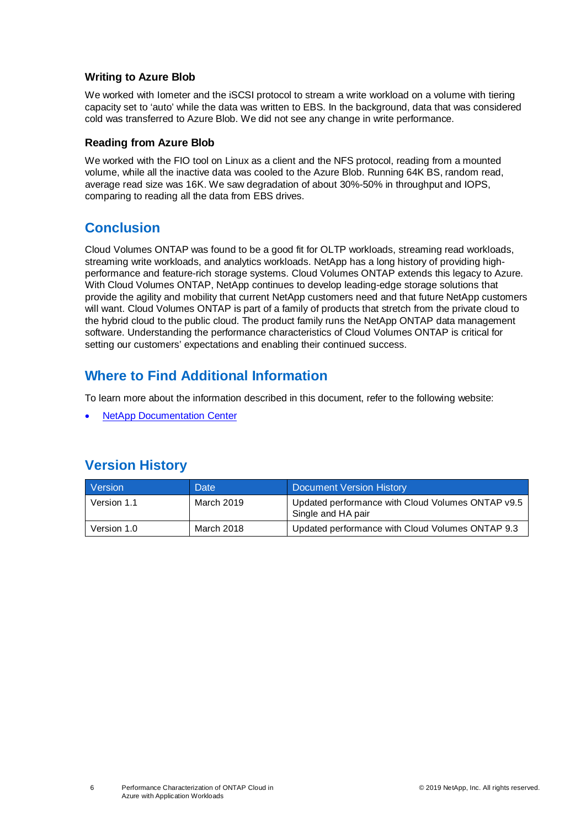#### **Writing to Azure Blob**

We worked with Iometer and the iSCSI protocol to stream a write workload on a volume with tiering capacity set to 'auto' while the data was written to EBS. In the background, data that was considered cold was transferred to Azure Blob. We did not see any change in write performance.

#### **Reading from Azure Blob**

We worked with the FIO tool on Linux as a client and the NFS protocol, reading from a mounted volume, while all the inactive data was cooled to the Azure Blob. Running 64K BS, random read, average read size was 16K. We saw degradation of about 30%-50% in throughput and IOPS, comparing to reading all the data from EBS drives.

# <span id="page-5-0"></span>**Conclusion**

Cloud Volumes ONTAP was found to be a good fit for OLTP workloads, streaming read workloads, streaming write workloads, and analytics workloads. NetApp has a long history of providing highperformance and feature-rich storage systems. Cloud Volumes ONTAP extends this legacy to Azure. With Cloud Volumes ONTAP, NetApp continues to develop leading-edge storage solutions that provide the agility and mobility that current NetApp customers need and that future NetApp customers will want. Cloud Volumes ONTAP is part of a family of products that stretch from the private cloud to the hybrid cloud to the public cloud. The product family runs the NetApp ONTAP data management software. Understanding the performance characteristics of Cloud Volumes ONTAP is critical for setting our customers' expectations and enabling their continued success.

# <span id="page-5-1"></span>**Where to Find Additional Information**

To learn more about the information described in this document, refer to the following website:

**[NetApp Documentation Center](https://mysupport.netapp.com/info/web/ECMLP2557637.html)** 

# <span id="page-5-2"></span>**Version History**

| Version     | Date       | Document Version History                                                |
|-------------|------------|-------------------------------------------------------------------------|
| Version 1.1 | March 2019 | Updated performance with Cloud Volumes ONTAP v9.5<br>Single and HA pair |
| Version 1.0 | March 2018 | Updated performance with Cloud Volumes ONTAP 9.3                        |